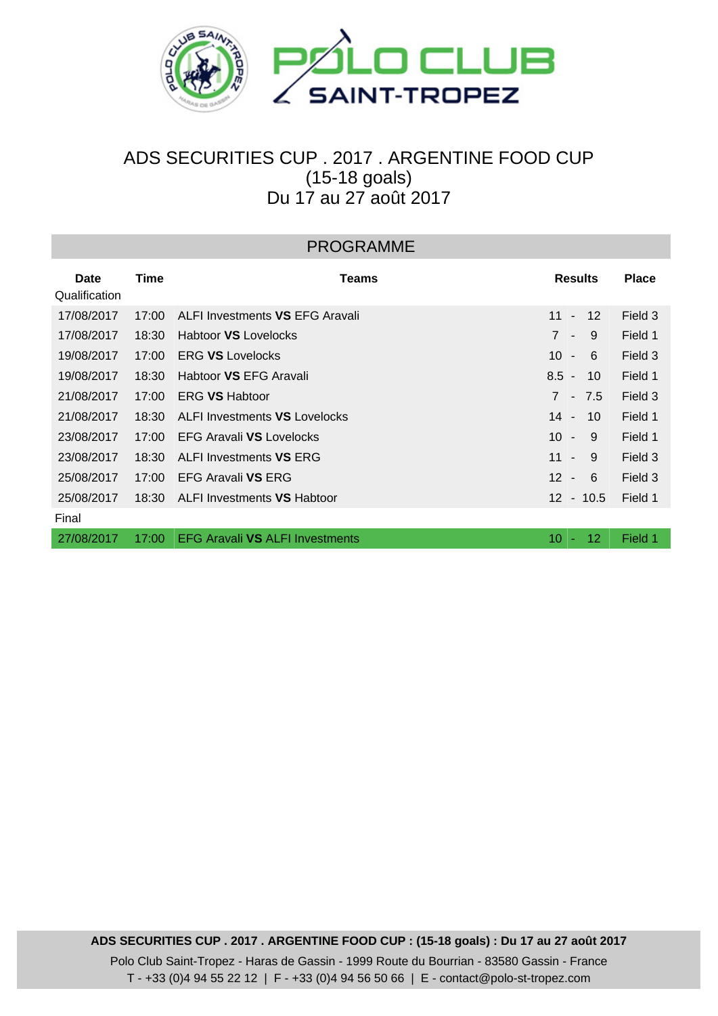

## ADS SECURITIES CUP . 2017 . ARGENTINE FOOD CUP (15-18 goals) Du 17 au 27 août 2017

| <b>PROGRAMME</b>      |       |                                        |                                                 |              |  |  |  |  |  |
|-----------------------|-------|----------------------------------------|-------------------------------------------------|--------------|--|--|--|--|--|
| Date<br>Qualification | Time  | Teams                                  | <b>Results</b>                                  | <b>Place</b> |  |  |  |  |  |
| 17/08/2017            | 17:00 | ALFI Investments VS EFG Aravali        | 11<br>$12 \overline{ }$<br>$\blacksquare$       | Field 3      |  |  |  |  |  |
| 17/08/2017            | 18:30 | <b>Habtoor VS Lovelocks</b>            | $\overline{7}$<br>9<br>$\overline{\phantom{a}}$ | Field 1      |  |  |  |  |  |
| 19/08/2017            | 17:00 | <b>ERG VS Lovelocks</b>                | 10 <sup>°</sup><br>-6<br>$\blacksquare$         | Field 3      |  |  |  |  |  |
| 19/08/2017            | 18:30 | Habtoor VS EFG Aravali                 | $8.5 -$<br>10                                   | Field 1      |  |  |  |  |  |
| 21/08/2017            | 17:00 | <b>ERG VS Habtoor</b>                  | $\overline{7}$<br>$-7.5$                        | Field 3      |  |  |  |  |  |
| 21/08/2017            | 18:30 | <b>ALFI Investments VS Lovelocks</b>   | $14 -$<br>10                                    | Field 1      |  |  |  |  |  |
| 23/08/2017            | 17:00 | EFG Aravali VS Lovelocks               | 10 <sup>°</sup><br>9<br>$\blacksquare$          | Field 1      |  |  |  |  |  |
| 23/08/2017            | 18:30 | ALFI Investments VS ERG                | 11<br>-9<br>$\blacksquare$                      | Field 3      |  |  |  |  |  |
| 25/08/2017            | 17:00 | <b>EFG Aravali VS ERG</b>              | 12 <sup>2</sup><br>-6<br>$\blacksquare$         | Field 3      |  |  |  |  |  |
| 25/08/2017            | 18:30 | ALFI Investments VS Habtoor            | $12 - 10.5$                                     | Field 1      |  |  |  |  |  |
| Final                 |       |                                        |                                                 |              |  |  |  |  |  |
| 27/08/2017            | 17:00 | <b>EFG Aravali VS ALFI Investments</b> | 10<br>12.                                       | Field 1      |  |  |  |  |  |
|                       |       |                                        |                                                 |              |  |  |  |  |  |

**ADS SECURITIES CUP . 2017 . ARGENTINE FOOD CUP : (15-18 goals) : Du 17 au 27 août 2017** Polo Club Saint-Tropez - Haras de Gassin - 1999 Route du Bourrian - 83580 Gassin - France T - +33 (0)4 94 55 22 12 | F - +33 (0)4 94 56 50 66 | E - contact@polo-st-tropez.com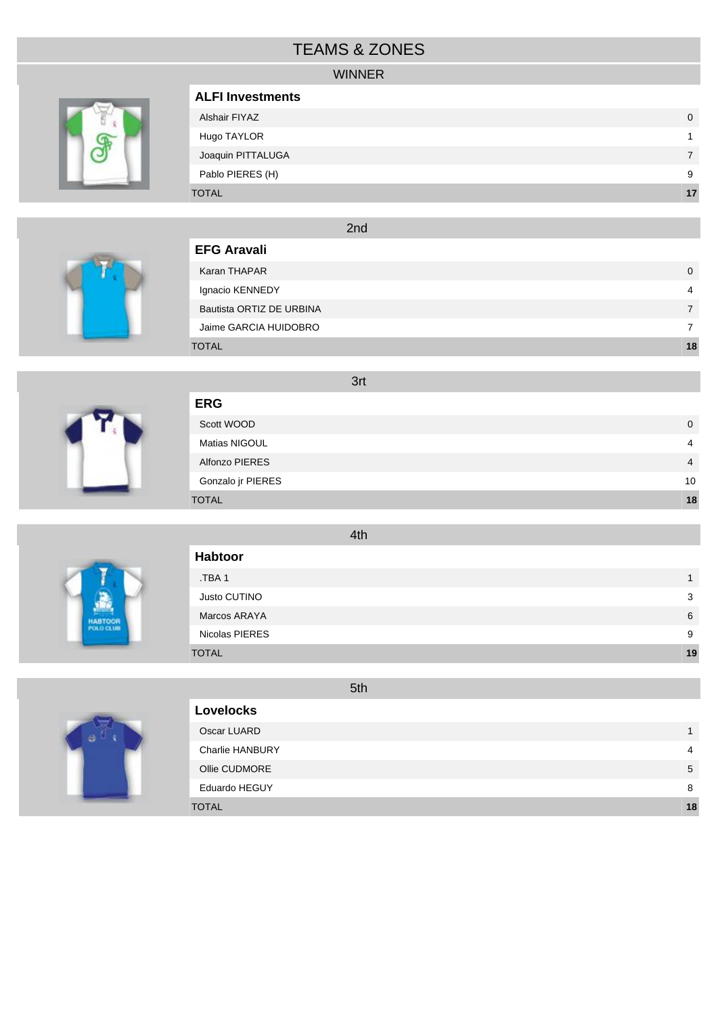## TEAMS & ZONES

### WINNER



| <b>ALFI Investments</b> |    |
|-------------------------|----|
| Alshair FIYAZ           | 0  |
| Hugo TAYLOR             |    |
| Joaquin PITTALUGA       |    |
| Pablo PIERES (H)        | 9  |
| <b>TOTAL</b>            | 17 |
|                         |    |

2nd

| <b>EFG Aravali</b>       |    |
|--------------------------|----|
| Karan THAPAR             | 0  |
| Ignacio KENNEDY          | 4  |
| Bautista ORTIZ DE URBINA |    |
| Jaime GARCIA HUIDOBRO    |    |
| <b>TOTAL</b>             | 18 |

 Scott WOOD 0 Matias NIGOUL 4 Alfonzo PIERES 4 Gonzalo jr PIERES 10 TOTAL **18**



 **ERG**



|                  | 4th |    |
|------------------|-----|----|
| <b>Habtoor</b>   |     |    |
| TBA <sub>1</sub> |     | 1  |
| Justo CUTINO     |     | 3  |
| Marcos ARAYA     |     | 6  |
| Nicolas PIERES   |     | 9  |
| <b>TOTAL</b>     |     | 19 |



|                        | 5th |    |
|------------------------|-----|----|
| <b>Lovelocks</b>       |     |    |
| Oscar LUARD            |     |    |
| <b>Charlie HANBURY</b> |     | 4  |
| Ollie CUDMORE          |     | 5  |
| <b>Eduardo HEGUY</b>   |     | 8  |
| <b>TOTAL</b>           |     | 18 |

3rt